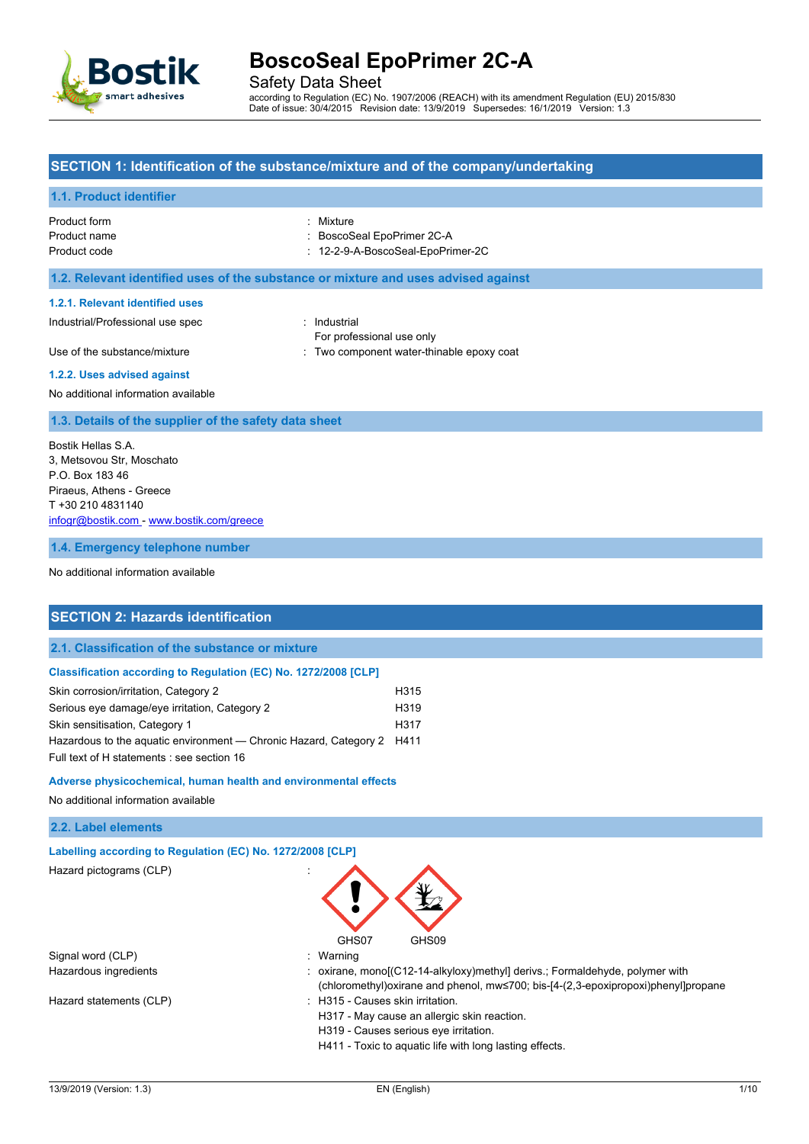

Safety Data Sheet

according to Regulation (EC) No. 1907/2006 (REACH) with its amendment Regulation (EU) 2015/830 Date of issue: 30/4/2015 Revision date: 13/9/2019 Supersedes: 16/1/2019 Version: 1.3

#### **SECTION 1: Identification of the substance/mixture and of the company/undertaking**

#### **1.1. Product identifier**

| Product form | : Mixture                  |
|--------------|----------------------------|
| Product name | : BoscoSeal EpoPrimer 2C-A |

Product code : 12-2-9-A-BoscoSeal-EpoPrimer-2C

#### **1.2. Relevant identified uses of the substance or mixture and uses advised against**

#### **1.2.1. Relevant identified uses**

Industrial/Professional use spec : Industrial

For professional use only

Use of the substance/mixture in the substance of the substance of the substance of the substance of the substance of the substance of the substance of the substance of the substance of the substance of the substance of the

#### **1.2.2. Uses advised against**

No additional information available

#### **1.3. Details of the supplier of the safety data sheet**

Bostik Hellas S.A. 3, Metsovou Str, Moschato P.O. Box 183 46 Piraeus, Athens - Greece T +30 210 4831140 [infogr@bostik.com](mailto:infogr@bostik.com) - <www.bostik.com/greece>

**1.4. Emergency telephone number**

No additional information available

#### **SECTION 2: Hazards identification**

#### **2.1. Classification of the substance or mixture**

#### **Classification according to Regulation (EC) No. 1272/2008 [CLP]**

| Skin corrosion/irritation, Category 2                                  | H315             |
|------------------------------------------------------------------------|------------------|
| Serious eye damage/eye irritation, Category 2                          | H <sub>319</sub> |
| Skin sensitisation, Category 1                                         | H317             |
| Hazardous to the aguatic environment — Chronic Hazard, Category 2 H411 |                  |
| Full text of H statements : see section 16                             |                  |

#### **Adverse physicochemical, human health and environmental effects**

No additional information available

#### **2.2. Label elements**

| Labelling according to Regulation (EC) No. 1272/2008 [CLP] |  |
|------------------------------------------------------------|--|
| Hazard pictograms (CLP)                                    |  |

|                         | GHS07<br>GHS09                                                                       |
|-------------------------|--------------------------------------------------------------------------------------|
| Signal word (CLP)       | : Warning                                                                            |
| Hazardous ingredients   | : oxirane, mono[(C12-14-alkyloxy)methyl] derivs: Formaldehyde, polymer with          |
|                         | (chloromethyl) oxirane and phenol, mw≤700; bis-[4-(2,3-epoxipropoxi) phenyl] propane |
| Hazard statements (CLP) | : H315 - Causes skin irritation.                                                     |
|                         | H317 - May cause an allergic skin reaction.                                          |
|                         | H319 - Causes serious eye irritation.                                                |
|                         | H411 - Toxic to aquatic life with long lasting effects.                              |
|                         |                                                                                      |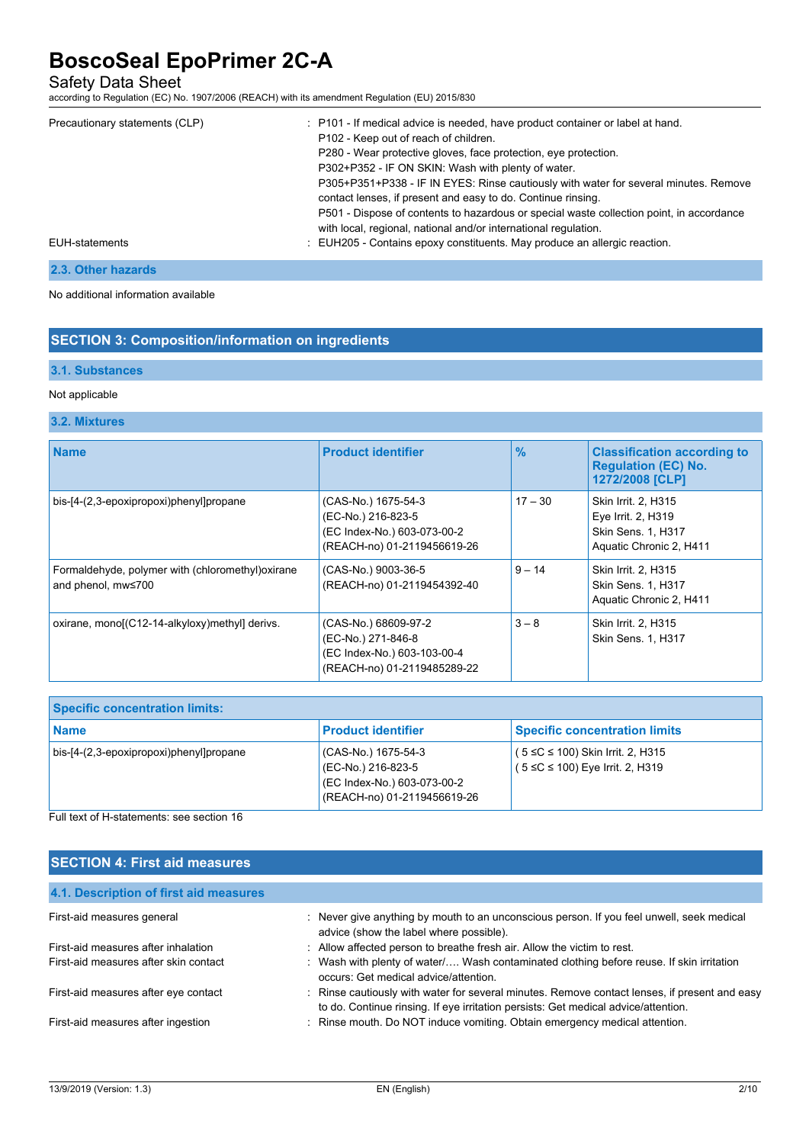Safety Data Sheet

according to Regulation (EC) No. 1907/2006 (REACH) with its amendment Regulation (EU) 2015/830

| Precautionary statements (CLP) | : P101 - If medical advice is needed, have product container or label at hand.<br>P102 - Keep out of reach of children.<br>P280 - Wear protective gloves, face protection, eye protection.<br>P302+P352 - IF ON SKIN: Wash with plenty of water.<br>P305+P351+P338 - IF IN EYES: Rinse cautiously with water for several minutes. Remove<br>contact lenses, if present and easy to do. Continue rinsing.<br>P501 - Dispose of contents to hazardous or special waste collection point, in accordance<br>with local, regional, national and/or international regulation. |
|--------------------------------|-------------------------------------------------------------------------------------------------------------------------------------------------------------------------------------------------------------------------------------------------------------------------------------------------------------------------------------------------------------------------------------------------------------------------------------------------------------------------------------------------------------------------------------------------------------------------|
| EUH-statements                 | : EUH205 - Contains epoxy constituents. May produce an allergic reaction.                                                                                                                                                                                                                                                                                                                                                                                                                                                                                               |

### **2.3. Other hazards**

No additional information available

### **SECTION 3: Composition/information on ingredients**

#### **3.1. Substances**

### Not applicable

### **3.2. Mixtures**

| <b>Name</b>                                                             | <b>Product identifier</b>                                                                                | $\frac{9}{6}$ | <b>Classification according to</b><br><b>Regulation (EC) No.</b><br>1272/2008 [CLP]        |
|-------------------------------------------------------------------------|----------------------------------------------------------------------------------------------------------|---------------|--------------------------------------------------------------------------------------------|
| bis-[4-(2,3-epoxipropoxi)phenyl]propane                                 | (CAS-No.) 1675-54-3<br>(EC-No.) 216-823-5<br>(EC Index-No.) 603-073-00-2<br>(REACH-no) 01-2119456619-26  | $17 - 30$     | Skin Irrit. 2, H315<br>Eye Irrit. 2, H319<br>Skin Sens. 1, H317<br>Aquatic Chronic 2, H411 |
| Formaldehyde, polymer with (chloromethyl) oxirane<br>and phenol, mw≤700 | (CAS-No.) 9003-36-5<br>(REACH-no) 01-2119454392-40                                                       | $9 - 14$      | Skin Irrit. 2, H315<br>Skin Sens. 1, H317<br>Aquatic Chronic 2, H411                       |
| oxirane, monol(C12-14-alkyloxy) methyll derivs.                         | (CAS-No.) 68609-97-2<br>(EC-No.) 271-846-8<br>(EC Index-No.) 603-103-00-4<br>(REACH-no) 01-2119485289-22 | $3 - 8$       | Skin Irrit. 2, H315<br>Skin Sens. 1, H317                                                  |

| <b>Specific concentration limits:</b>   |                                                                                                         |                                                                               |
|-----------------------------------------|---------------------------------------------------------------------------------------------------------|-------------------------------------------------------------------------------|
| ∣Name                                   | <b>Product identifier</b>                                                                               | <b>Specific concentration limits</b>                                          |
| bis-[4-(2,3-epoxipropoxi)phenyl]propane | (CAS-No.) 1675-54-3<br>(EC-No.) 216-823-5<br>(EC Index-No.) 603-073-00-2<br>(REACH-no) 01-2119456619-26 | $(5 ≤ C ≤ 100)$ Skin Irrit. 2, H315<br>$(5 \le C \le 100)$ Eye Irrit. 2, H319 |

Full text of H-statements: see section 16

| <b>SECTION 4: First aid measures</b>   |                                                                                                                                                                                     |  |  |  |
|----------------------------------------|-------------------------------------------------------------------------------------------------------------------------------------------------------------------------------------|--|--|--|
| 4.1. Description of first aid measures |                                                                                                                                                                                     |  |  |  |
| First-aid measures general             | : Never give anything by mouth to an unconscious person. If you feel unwell, seek medical<br>advice (show the label where possible).                                                |  |  |  |
| First-aid measures after inhalation    | : Allow affected person to breathe fresh air. Allow the victim to rest.                                                                                                             |  |  |  |
| First-aid measures after skin contact  | : Wash with plenty of water/ Wash contaminated clothing before reuse. If skin irritation<br>occurs: Get medical advice/attention.                                                   |  |  |  |
| First-aid measures after eye contact   | : Rinse cautiously with water for several minutes. Remove contact lenses, if present and easy<br>to do. Continue rinsing. If eye irritation persists: Get medical advice/attention. |  |  |  |
| First-aid measures after ingestion     | : Rinse mouth. Do NOT induce vomiting. Obtain emergency medical attention.                                                                                                          |  |  |  |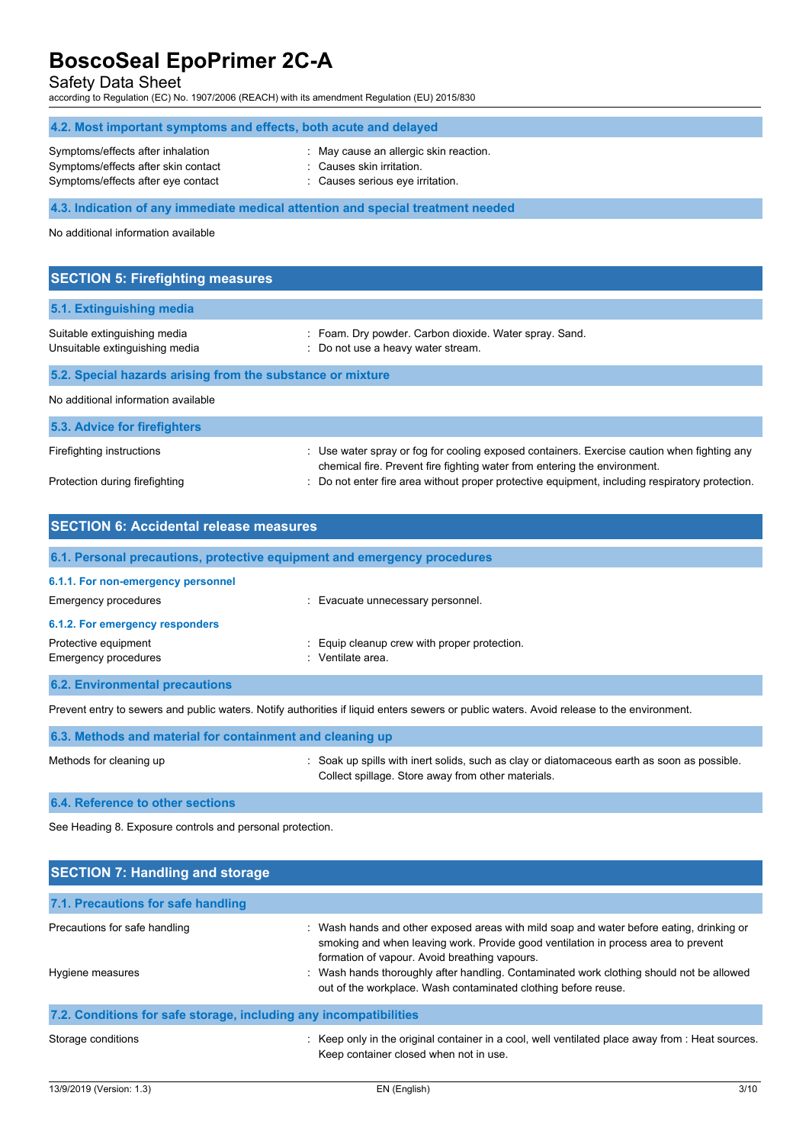Safety Data Sheet

according to Regulation (EC) No. 1907/2006 (REACH) with its amendment Regulation (EU) 2015/830

| 4.2. Most important symptoms and effects, both acute and delayed                                               |                                                                                                       |  |
|----------------------------------------------------------------------------------------------------------------|-------------------------------------------------------------------------------------------------------|--|
| Symptoms/effects after inhalation<br>Symptoms/effects after skin contact<br>Symptoms/effects after eye contact | May cause an allergic skin reaction.<br>: Causes skin irritation.<br>: Causes serious eye irritation. |  |
|                                                                                                                | 4.3. Indication of any immediate medical attention and special treatment needed                       |  |
| No additional information available                                                                            |                                                                                                       |  |
| <b>SECTION 5: Firefighting measures</b>                                                                        |                                                                                                       |  |

| 5.1. Extinguishing media                                       |                                                                                              |
|----------------------------------------------------------------|----------------------------------------------------------------------------------------------|
| Suitable extinguishing media<br>Unsuitable extinguishing media | : Foam. Dry powder. Carbon dioxide. Water spray. Sand.<br>: Do not use a heavy water stream. |
| 5.2. Special hazards arising from the substance or mixture     |                                                                                              |
| No additional information available                            |                                                                                              |
| 5.3. Advice for firefighters                                   |                                                                                              |
| Firefighting instructions                                      | : Use water spray or fog for cooling exposed containers. Exercise caution when fighting any  |

chemical fire. Prevent fire fighting water from entering the environment.

: Do not enter fire area without proper protective equipment, including respiratory protection.

|  | Protection during firefighting |  |
|--|--------------------------------|--|
|  |                                |  |

| <b>SECTION 6: Accidental release measures</b>                            |                                              |  |
|--------------------------------------------------------------------------|----------------------------------------------|--|
| 6.1. Personal precautions, protective equipment and emergency procedures |                                              |  |
| 6.1.1. For non-emergency personnel                                       |                                              |  |
| Emergency procedures                                                     | : Evacuate unnecessary personnel.            |  |
| 6.1.2. For emergency responders                                          |                                              |  |
| Protective equipment                                                     | : Equip cleanup crew with proper protection. |  |
| Emergency procedures<br>٠                                                | Ventilate area.                              |  |
| <b>6.2. Environmental precautions</b>                                    |                                              |  |

Prevent entry to sewers and public waters. Notify authorities if liquid enters sewers or public waters. Avoid release to the environment.

| 6.3. Methods and material for containment and cleaning up |                                                                                                                                                   |  |
|-----------------------------------------------------------|---------------------------------------------------------------------------------------------------------------------------------------------------|--|
| Methods for cleaning up                                   | : Soak up spills with inert solids, such as clay or diatomaceous earth as soon as possible.<br>Collect spillage. Store away from other materials. |  |
| <b>6.4. Reference to other sections</b>                   |                                                                                                                                                   |  |

See Heading 8. Exposure controls and personal protection.

| <b>SECTION 7: Handling and storage</b>                            |                                                                                                                                                                                                                                                                                                                                                                                               |
|-------------------------------------------------------------------|-----------------------------------------------------------------------------------------------------------------------------------------------------------------------------------------------------------------------------------------------------------------------------------------------------------------------------------------------------------------------------------------------|
| 7.1. Precautions for safe handling                                |                                                                                                                                                                                                                                                                                                                                                                                               |
| Precautions for safe handling<br>Hygiene measures                 | : Wash hands and other exposed areas with mild soap and water before eating, drinking or<br>smoking and when leaving work. Provide good ventilation in process area to prevent<br>formation of vapour. Avoid breathing vapours.<br>: Wash hands thoroughly after handling. Contaminated work clothing should not be allowed<br>out of the workplace. Wash contaminated clothing before reuse. |
| 7.2. Conditions for safe storage, including any incompatibilities |                                                                                                                                                                                                                                                                                                                                                                                               |
| Storage conditions                                                | : Keep only in the original container in a cool, well ventilated place away from : Heat sources.<br>Keep container closed when not in use.                                                                                                                                                                                                                                                    |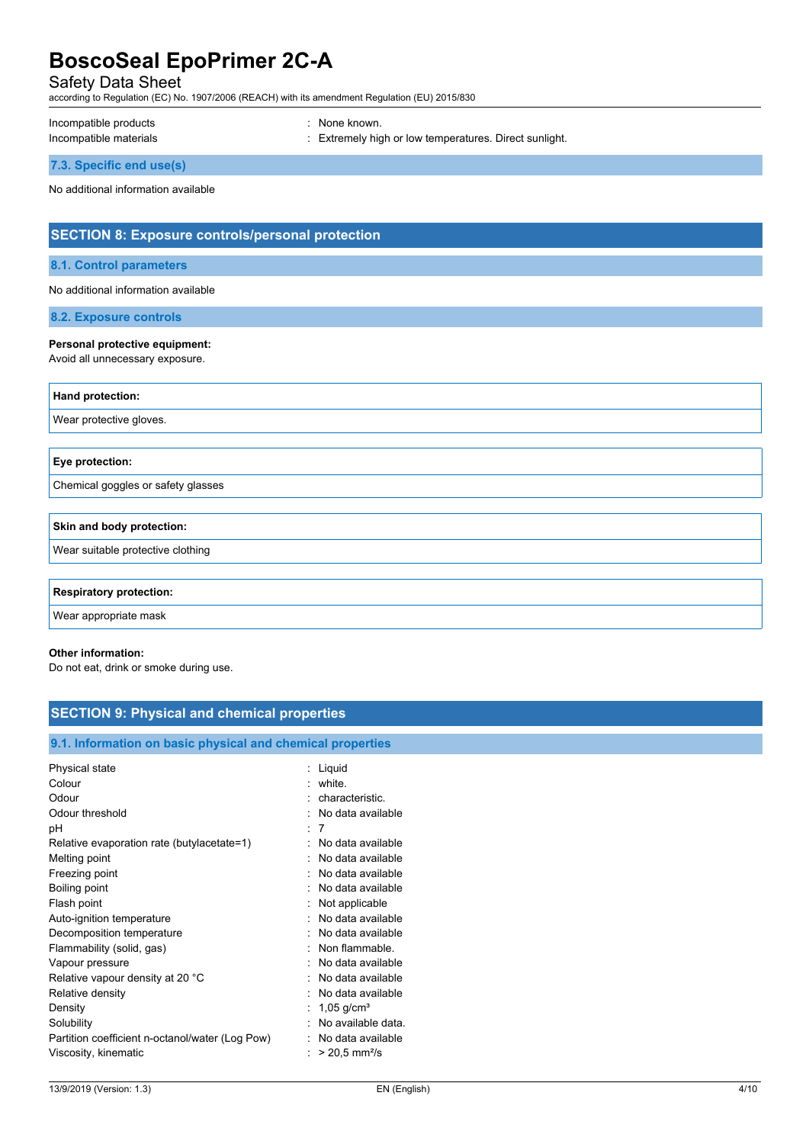Safety Data Sheet

according to Regulation (EC) No. 1907/2006 (REACH) with its amendment Regulation (EU) 2015/830

Incompatible products in the set of the set of the set of the set of the set of the set of the set of the set o

Incompatible materials **incompatible materials** incompatible materials incompatible materials

**7.3. Specific end use(s)**

No additional information available

## **SECTION 8: Exposure controls/personal protection**

#### **8.1. Control parameters**

No additional information available

**8.2. Exposure controls**

#### **Personal protective equipment:**

Avoid all unnecessary exposure.

| Hand protection:                   |
|------------------------------------|
| Wear protective gloves.            |
|                                    |
| Eye protection:                    |
| Chemical goggles or safety glasses |
|                                    |
| Skin and body protection:          |
| Wear suitable protective clothing  |
|                                    |
| <b>Respiratory protection:</b>     |
| Wear appropriate mask              |

#### **Other information:**

Do not eat, drink or smoke during use.

| <b>SECTION 9: Physical and chemical properties</b>         |                               |
|------------------------------------------------------------|-------------------------------|
|                                                            |                               |
| 9.1. Information on basic physical and chemical properties |                               |
| Physical state                                             | : Liquid                      |
| Colour                                                     | $:$ white.                    |
| Odour                                                      | : characteristic.             |
| Odour threshold                                            | : No data available           |
| рH                                                         | : 7                           |
| Relative evaporation rate (butylacetate=1)                 | : No data available           |
| Melting point                                              | : No data available           |
| Freezing point                                             | : No data available           |
| Boiling point                                              | : No data available           |
| Flash point                                                | : Not applicable              |
| Auto-ignition temperature                                  | : No data available           |
| Decomposition temperature                                  | : No data available           |
| Flammability (solid, gas)                                  | : Non flammable.              |
| Vapour pressure                                            | : No data available           |
| Relative vapour density at 20 °C                           | : No data available           |
| Relative density                                           | : No data available           |
| Density                                                    | : 1,05 g/cm <sup>3</sup>      |
| Solubility                                                 | : No available data.          |
| Partition coefficient n-octanol/water (Log Pow)            | : No data available           |
| Viscosity, kinematic                                       | : $> 20.5$ mm <sup>2</sup> /s |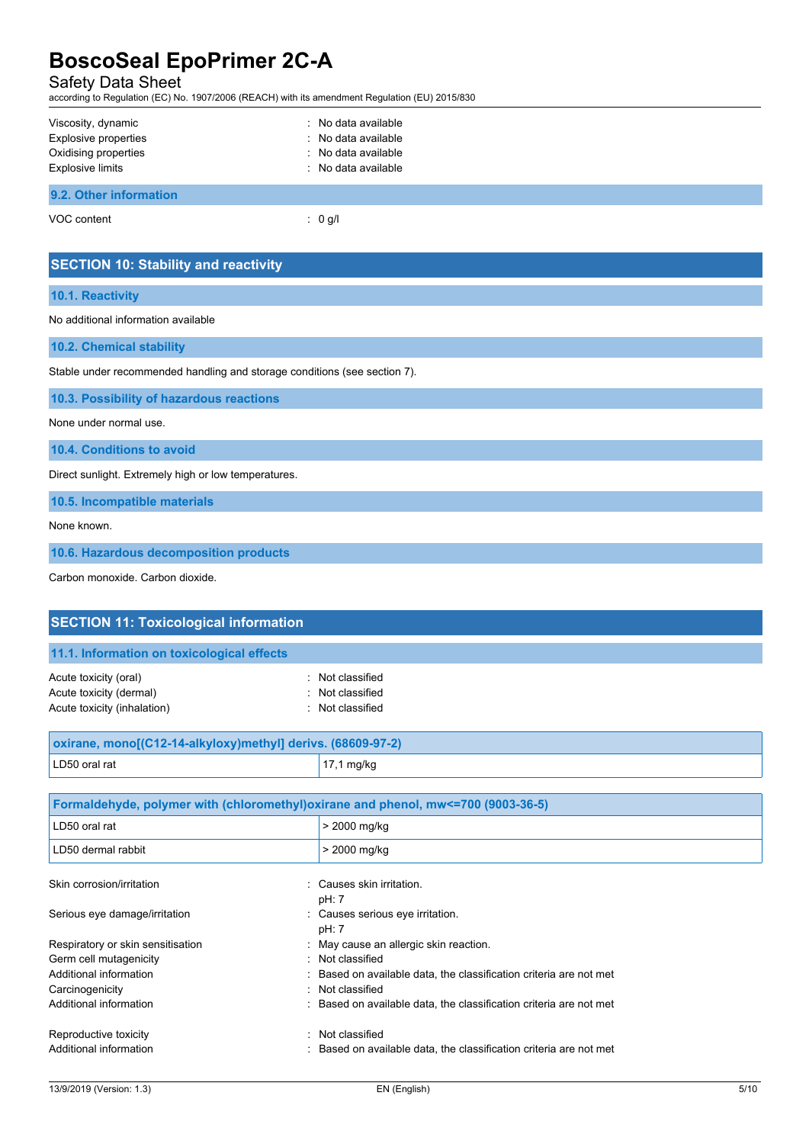## Safety Data Sheet

according to Regulation (EC) No. 1907/2006 (REACH) with its amendment Regulation (EU) 2015/830

| Viscosity, dynamic<br><b>Explosive properties</b><br>Oxidising properties<br>Explosive limits | : No data available<br>: No data available<br>: No data available<br>: No data available |  |
|-----------------------------------------------------------------------------------------------|------------------------------------------------------------------------------------------|--|
| 9.2. Other information                                                                        |                                                                                          |  |

VOC content : 0 g/l

| <b>SECTION 10: Stability and reactivity</b>                               |
|---------------------------------------------------------------------------|
| 10.1. Reactivity                                                          |
| No additional information available                                       |
| 10.2. Chemical stability                                                  |
| Stable under recommended handling and storage conditions (see section 7). |
| 10.3. Possibility of hazardous reactions                                  |
| None under normal use.                                                    |
| 10.4. Conditions to avoid                                                 |
| Direct sunlight. Extremely high or low temperatures.                      |
| 10.5. Incompatible materials                                              |
| None known.                                                               |
| 10.6. Hazardous decomposition products                                    |
| Carbon monoxide, Carbon dioxide.                                          |

| <b>SECTION 11: Toxicological information</b>                                      |                                                                  |
|-----------------------------------------------------------------------------------|------------------------------------------------------------------|
| 11.1. Information on toxicological effects                                        |                                                                  |
| Acute toxicity (oral)<br>Acute toxicity (dermal)<br>Acute toxicity (inhalation)   | : Not classified<br>: Not classified<br>Not classified           |
| oxirane, mono[(C12-14-alkyloxy)methyl] derivs. (68609-97-2)                       |                                                                  |
| LD50 oral rat                                                                     | 17,1 mg/kg                                                       |
|                                                                                   |                                                                  |
| Formaldehyde, polymer with (chloromethyl) oxirane and phenol, mw<=700 (9003-36-5) |                                                                  |
| LD50 oral rat                                                                     | > 2000 mg/kg                                                     |
| LD50 dermal rabbit                                                                | > 2000 mg/kg                                                     |
| Skin corrosion/irritation                                                         | Causes skin irritation.<br>۰,<br>pH: 7                           |
| Serious eye damage/irritation                                                     | : Causes serious eye irritation.<br>pH: 7                        |
| Respiratory or skin sensitisation                                                 | : May cause an allergic skin reaction.                           |
| Germ cell mutagenicity                                                            | · Not classified                                                 |
| Additional information                                                            | Based on available data, the classification criteria are not met |
| Carcinogenicity                                                                   | Not classified                                                   |
| Additional information                                                            | Based on available data, the classification criteria are not met |
| Reproductive toxicity                                                             | : Not classified                                                 |
| Additional information                                                            | Based on available data, the classification criteria are not met |
|                                                                                   |                                                                  |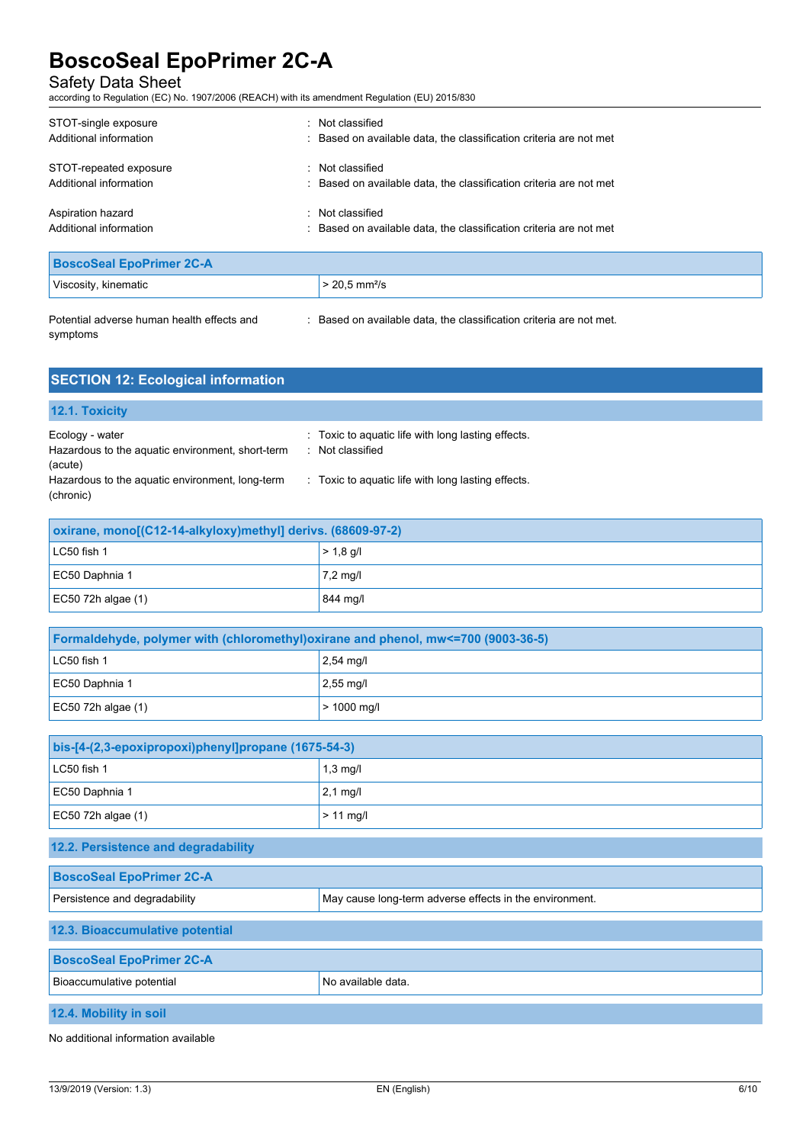Safety Data Sheet

according to Regulation (EC) No. 1907/2006 (REACH) with its amendment Regulation (EU) 2015/830

| STOT-single exposure                              | Not classified                                                                       |
|---------------------------------------------------|--------------------------------------------------------------------------------------|
| Additional information                            | : Based on available data, the classification criteria are not met                   |
| STOT-repeated exposure                            | Not classified                                                                       |
| Additional information                            | : Based on available data, the classification criteria are not met                   |
| Aspiration hazard<br>۰.<br>Additional information | Not classified<br>: Based on available data, the classification criteria are not met |

| <b>BoscoSeal EpoPrimer 2C-A</b>            |  |                                                                   |  |
|--------------------------------------------|--|-------------------------------------------------------------------|--|
| Viscosity, kinematic                       |  | $> 20.5$ mm <sup>2</sup> /s                                       |  |
| Potential adverse human health effects and |  | Based on available data, the classification criteria are not met. |  |

symptoms

ed on available data, the classification criteria are not met.

**SECTION 12: Ecological information 12.1. Toxicity** Ecology - water **interpretent in the Cology - water**  $\cdot$  Toxic to aquatic life with long lasting effects. Hazardous to the aquatic environment, short-term (acute) : Not classified Hazardous to the aquatic environment, long-term (chronic) : Toxic to aquatic life with long lasting effects.

| oxirane, mono[(C12-14-alkyloxy)methyl] derivs. (68609-97-2) |             |
|-------------------------------------------------------------|-------------|
| $LC50$ fish 1                                               | $> 1.8$ g/l |
| EC50 Daphnia 1                                              | 7,2 mg/l    |
| $EC50$ 72h algae (1)                                        | 844 mg/l    |

| Formaldehyde, polymer with (chloromethyl) oxirane and phenol, mw<=700 (9003-36-5) |                     |
|-----------------------------------------------------------------------------------|---------------------|
| $LC50$ fish 1                                                                     | $2,54 \text{ mq/l}$ |
| EC50 Daphnia 1                                                                    | $2.55$ mg/l         |
| $EC50$ 72h algae (1)                                                              | $> 1000$ mg/l       |

| bis-[4-(2,3-epoxipropoxi)phenyl]propane (1675-54-3) |                    |
|-----------------------------------------------------|--------------------|
| LC50 fish 1                                         | $1,3 \text{ mg/l}$ |
| EC50 Daphnia 1                                      | $2,1 \text{ mg/l}$ |
| EC50 72h algae $(1)$                                | $>11$ mg/l         |

| 12.2. Persistence and degradability                                                      |  |  |
|------------------------------------------------------------------------------------------|--|--|
| <b>BoscoSeal EpoPrimer 2C-A</b>                                                          |  |  |
| Persistence and degradability<br>May cause long-term adverse effects in the environment. |  |  |
| 12.3. Bioaccumulative potential                                                          |  |  |
| <b>BoscoSeal EpoPrimer 2C-A</b>                                                          |  |  |
| No available data.<br>Bioaccumulative potential                                          |  |  |
| 12.4. Mobility in soil                                                                   |  |  |

No additional information available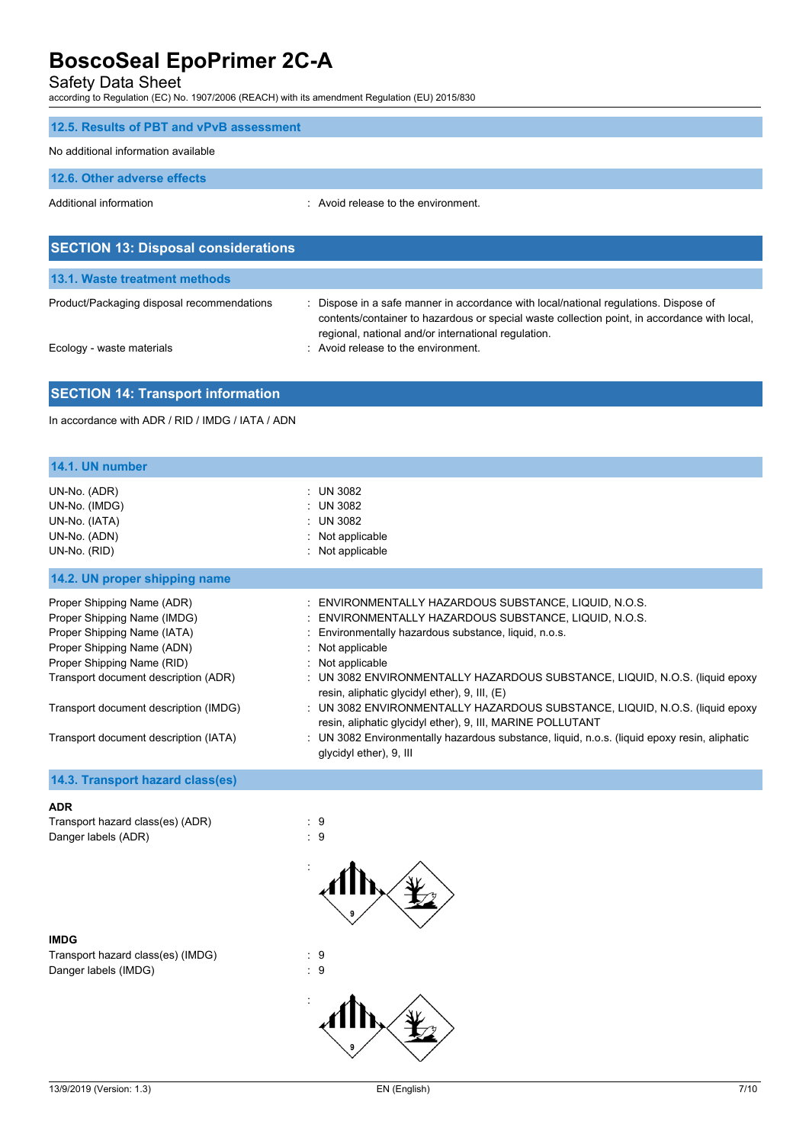Safety Data Sheet

according to Regulation (EC) No. 1907/2006 (REACH) with its amendment Regulation (EU) 2015/830

| 12.5. Results of PBT and vPvB assessment   |                                                                                      |
|--------------------------------------------|--------------------------------------------------------------------------------------|
| No additional information available        |                                                                                      |
| 12.6. Other adverse effects                |                                                                                      |
| Additional information                     | Avoid release to the environment                                                     |
|                                            |                                                                                      |
| <b>SECTION 13: Disposal considerations</b> |                                                                                      |
| 13.1. Waste treatment methods              |                                                                                      |
| Product/Packaging disposal recommendations | : Dispose in a safe manner in accordance with local/national regulations. Dispose of |

|  | Ecology - waste materials |
|--|---------------------------|
|  |                           |

contents/container to hazardous or special waste collection point, in accordance with local, regional, national and/or international regulation. ecology - waste materials in the control of the environment.

### **SECTION 14: Transport information**

In accordance with ADR / RID / IMDG / IATA / ADN

| 14.1. UN number                                                                                                                                                                                                                                                                |                                                                                                                                                                                                                                                                                                                                                                                                                                                                                                                                                                                                                         |
|--------------------------------------------------------------------------------------------------------------------------------------------------------------------------------------------------------------------------------------------------------------------------------|-------------------------------------------------------------------------------------------------------------------------------------------------------------------------------------------------------------------------------------------------------------------------------------------------------------------------------------------------------------------------------------------------------------------------------------------------------------------------------------------------------------------------------------------------------------------------------------------------------------------------|
| UN-No. (ADR)<br>UN-No. (IMDG)<br>UN-No. (IATA)<br>UN-No. (ADN)<br>UN-No. (RID)                                                                                                                                                                                                 | : UN 3082<br>: UN 3082<br>: UN 3082<br>: Not applicable<br>: Not applicable                                                                                                                                                                                                                                                                                                                                                                                                                                                                                                                                             |
| 14.2. UN proper shipping name                                                                                                                                                                                                                                                  |                                                                                                                                                                                                                                                                                                                                                                                                                                                                                                                                                                                                                         |
| Proper Shipping Name (ADR)<br>Proper Shipping Name (IMDG)<br>Proper Shipping Name (IATA)<br>Proper Shipping Name (ADN)<br>Proper Shipping Name (RID)<br>Transport document description (ADR)<br>Transport document description (IMDG)<br>Transport document description (IATA) | : ENVIRONMENTALLY HAZARDOUS SUBSTANCE, LIQUID, N.O.S.<br>: ENVIRONMENTALLY HAZARDOUS SUBSTANCE, LIQUID, N.O.S.<br>: Environmentally hazardous substance, liquid, n.o.s.<br>: Not applicable<br>: Not applicable<br>: UN 3082 ENVIRONMENTALLY HAZARDOUS SUBSTANCE, LIQUID, N.O.S. (liquid epoxy<br>resin, aliphatic glycidyl ether), 9, III, (E)<br>: UN 3082 ENVIRONMENTALLY HAZARDOUS SUBSTANCE, LIQUID, N.O.S. (liquid epoxy<br>resin, aliphatic glycidyl ether), 9, III, MARINE POLLUTANT<br>: UN 3082 Environmentally hazardous substance, liquid, n.o.s. (liquid epoxy resin, aliphatic<br>glycidyl ether), 9, III |
| 14.3. Transport hazard class(es)                                                                                                                                                                                                                                               |                                                                                                                                                                                                                                                                                                                                                                                                                                                                                                                                                                                                                         |
| <b>ADR</b><br>Transport hazard class(es) (ADR)                                                                                                                                                                                                                                 | : 9                                                                                                                                                                                                                                                                                                                                                                                                                                                                                                                                                                                                                     |

:



Transport hazard class(es) (IMDG) : 9<br>Danger labels (IMDG) : 9 Danger labels (IMDG)

Danger labels (ADR) 3 and 3 and 3 and 3 and 3 and 3 and 3 and 3 and 3 and 3 and 3 and 3 and 3 and 3 and 3 and 3 and 3 and 3 and 3 and 3 and 3 and 3 and 3 and 3 and 3 and 3 and 3 and 3 and 3 and 3 and 3 and 3 and 3 and 3 an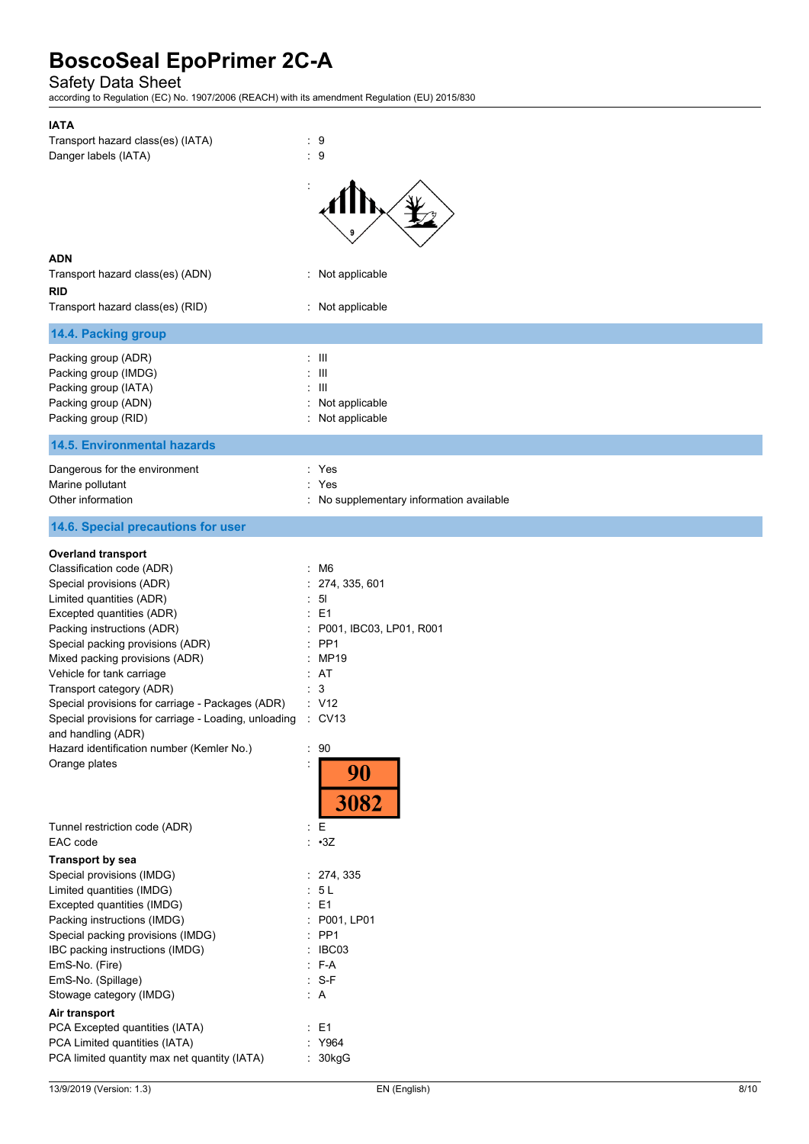Safety Data Sheet

according to Regulation (EC) No. 1907/2006 (REACH) with its amendment Regulation (EU) 2015/830

| <b>IATA</b>                                                                |                                        |
|----------------------------------------------------------------------------|----------------------------------------|
| Transport hazard class(es) (IATA)                                          | $\therefore$ 9                         |
| Danger labels (IATA)                                                       | : 9                                    |
|                                                                            |                                        |
|                                                                            |                                        |
|                                                                            |                                        |
|                                                                            |                                        |
|                                                                            |                                        |
|                                                                            |                                        |
| <b>ADN</b>                                                                 |                                        |
| Transport hazard class(es) (ADN)                                           | Not applicable                         |
| <b>RID</b>                                                                 |                                        |
| Transport hazard class(es) (RID)                                           | Not applicable                         |
| 14.4. Packing group                                                        |                                        |
| Packing group (ADR)                                                        | $\pm$ III                              |
| Packing group (IMDG)                                                       | Ш                                      |
| Packing group (IATA)                                                       | $\mathbf{III}$                         |
| Packing group (ADN)                                                        | Not applicable                         |
| Packing group (RID)                                                        | Not applicable                         |
|                                                                            |                                        |
| <b>14.5. Environmental hazards</b>                                         |                                        |
| Dangerous for the environment                                              | : Yes                                  |
| Marine pollutant                                                           | Yes                                    |
| Other information                                                          | No supplementary information available |
| 14.6. Special precautions for user                                         |                                        |
|                                                                            |                                        |
| <b>Overland transport</b>                                                  |                                        |
| Classification code (ADR)                                                  | $\cdot$ M6                             |
| Special provisions (ADR)                                                   | 274, 335, 601                          |
| Limited quantities (ADR)                                                   | -51                                    |
| Excepted quantities (ADR)                                                  | E <sub>1</sub>                         |
| Packing instructions (ADR)                                                 | P001, IBC03, LP01, R001                |
| Special packing provisions (ADR)                                           | PP <sub>1</sub>                        |
| Mixed packing provisions (ADR)                                             | MP19                                   |
| Vehicle for tank carriage                                                  | : AT                                   |
| Transport category (ADR)                                                   | 3                                      |
| Special provisions for carriage - Packages (ADR)                           | : V12                                  |
| Special provisions for carriage - Loading, unloading<br>and handling (ADR) | $\therefore$ CV13                      |
| Hazard identification number (Kemler No.)                                  | 90                                     |
| Orange plates                                                              |                                        |
|                                                                            | 90                                     |
|                                                                            |                                        |
|                                                                            | 3082                                   |
| Tunnel restriction code (ADR)                                              | E<br>÷                                 |
| EAC code                                                                   | $: \cdot 3Z$                           |
| <b>Transport by sea</b>                                                    |                                        |
| Special provisions (IMDG)                                                  | : 274, 335                             |
| Limited quantities (IMDG)                                                  | 5L<br>÷                                |
| Excepted quantities (IMDG)                                                 | E <sub>1</sub>                         |
| Packing instructions (IMDG)                                                | P001, LP01                             |
| Special packing provisions (IMDG)                                          | PP <sub>1</sub>                        |
| IBC packing instructions (IMDG)                                            | IBC03                                  |
| EmS-No. (Fire)                                                             | F-A<br>÷                               |
| EmS-No. (Spillage)                                                         | $: S-F$                                |
| Stowage category (IMDG)                                                    | : A                                    |
|                                                                            |                                        |
| Air transport                                                              |                                        |
| PCA Excepted quantities (IATA)                                             | E <sub>1</sub><br>÷                    |
| PCA Limited quantities (IATA)                                              | : Y964                                 |
| PCA limited quantity max net quantity (IATA)                               | 30kgG                                  |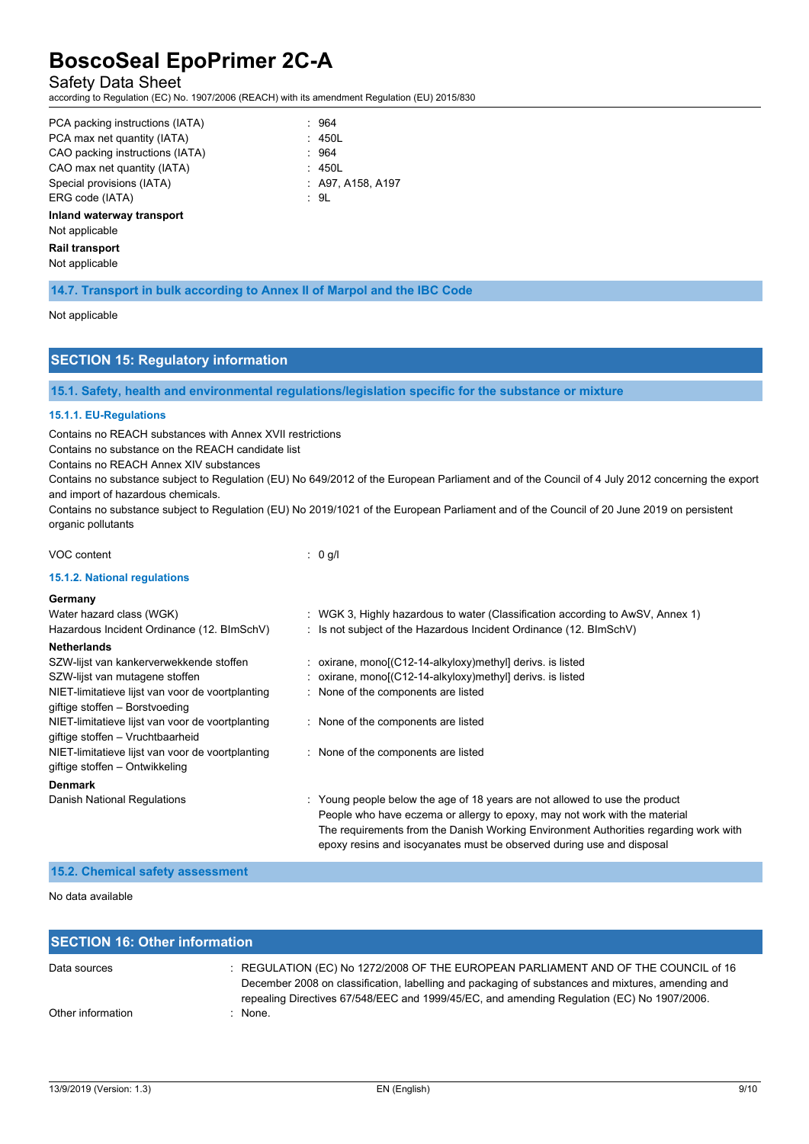### Safety Data Sheet

according to Regulation (EC) No. 1907/2006 (REACH) with its amendment Regulation (EU) 2015/830

| PCA packing instructions (IATA) | : 964             |
|---------------------------------|-------------------|
| PCA max net quantity (IATA)     | : 450L            |
| CAO packing instructions (IATA) | : 964             |
| CAO max net quantity (IATA)     | : 450L            |
| Special provisions (IATA)       | : A97. A158. A197 |
| ERG code (IATA)                 | : 9L              |

|  | : 450L           |
|--|------------------|
|  | : 964            |
|  | : 450L           |
|  | : A97, A158, A19 |
|  | αı               |

#### **Inland waterway transport**

Not applicable

#### **Rail transport**

Not applicable

**14.7. Transport in bulk according to Annex II of Marpol and the IBC Code**

#### Not applicable

## **SECTION 15: Regulatory information**

**15.1. Safety, health and environmental regulations/legislation specific for the substance or mixture**

#### **15.1.1. EU-Regulations**

Contains no REACH substances with Annex XVII restrictions

Contains no substance on the REACH candidate list

Contains no REACH Annex XIV substances

Contains no substance subject to Regulation (EU) No 649/2012 of the European Parliament and of the Council of 4 July 2012 concerning the export and import of hazardous chemicals.

Contains no substance subject to Regulation (EU) No 2019/1021 of the European Parliament and of the Council of 20 June 2019 on persistent organic pollutants

#### VOC content : 0 g/l

#### **15.1.2. National regulations**

| Germany<br>Water hazard class (WGK)              | : WGK 3, Highly hazardous to water (Classification according to AwSV, Annex 1)                                                                                |
|--------------------------------------------------|---------------------------------------------------------------------------------------------------------------------------------------------------------------|
| Hazardous Incident Ordinance (12. BImSchV)       | : Is not subject of the Hazardous Incident Ordinance (12. BImSchV)                                                                                            |
| <b>Netherlands</b>                               |                                                                                                                                                               |
| SZW-lijst van kankerverwekkende stoffen          | : oxirane, mono[ $(C12-14-alkyloxy)$ methyl] derivs. is listed                                                                                                |
| SZW-lijst van mutagene stoffen                   | : oxirane, mono[ $(C12-14$ -alkyloxy)methyl] derivs. is listed                                                                                                |
| NIET-limitatieve lijst van voor de voortplanting | : None of the components are listed                                                                                                                           |
| giftige stoffen - Borstvoeding                   |                                                                                                                                                               |
| NIET-limitatieve lijst van voor de voortplanting | : None of the components are listed                                                                                                                           |
| giftige stoffen - Vruchtbaarheid                 |                                                                                                                                                               |
| NIET-limitatieve lijst van voor de voortplanting | : None of the components are listed                                                                                                                           |
| giftige stoffen – Ontwikkeling                   |                                                                                                                                                               |
| <b>Denmark</b>                                   |                                                                                                                                                               |
| Danish National Regulations                      | : Young people below the age of 18 years are not allowed to use the product                                                                                   |
|                                                  | People who have eczema or allergy to epoxy, may not work with the material                                                                                    |
|                                                  | The requirements from the Danish Working Environment Authorities regarding work with<br>epoxy resins and isocyanates must be observed during use and disposal |

#### **15.2. Chemical safety assessment**

No data available

| <b>SECTION 16: Other information</b> |                                                                                                                                                                                                                                                                                       |  |
|--------------------------------------|---------------------------------------------------------------------------------------------------------------------------------------------------------------------------------------------------------------------------------------------------------------------------------------|--|
| Data sources                         | : REGULATION (EC) No 1272/2008 OF THE EUROPEAN PARLIAMENT AND OF THE COUNCIL of 16<br>December 2008 on classification, labelling and packaging of substances and mixtures, amending and<br>repealing Directives 67/548/EEC and 1999/45/EC, and amending Regulation (EC) No 1907/2006. |  |
| Other information                    | $:$ None.                                                                                                                                                                                                                                                                             |  |